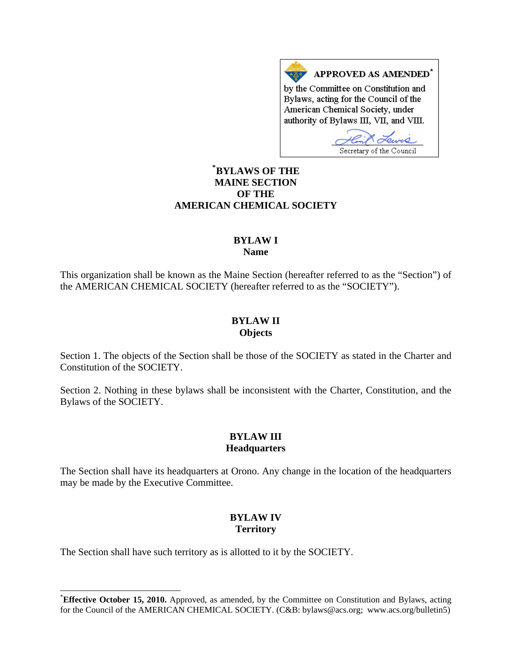APPROVED AS AMENDED\* by the Committee on Constitution and Bylaws, acting for the Council of the American Chemical Society, under authority of Bylaws III, VII, and VIII.

Lewis Secretary of the Council

# **[\\*](#page-0-0) BYLAWS OF THE MAINE SECTION OF THE AMERICAN CHEMICAL SOCIETY**

## **BYLAW I Name**

This organization shall be known as the Maine Section (hereafter referred to as the "Section") of the AMERICAN CHEMICAL SOCIETY (hereafter referred to as the "SOCIETY").

#### **BYLAW II Objects**

Section 1. The objects of the Section shall be those of the SOCIETY as stated in the Charter and Constitution of the SOCIETY.

Section 2. Nothing in these bylaws shall be inconsistent with the Charter, Constitution, and the Bylaws of the SOCIETY.

### **BYLAW III Headquarters**

The Section shall have its headquarters at Orono. Any change in the location of the headquarters may be made by the Executive Committee.

# **BYLAW IV Territory**

The Section shall have such territory as is allotted to it by the SOCIETY.

 $\overline{a}$ 

<span id="page-0-0"></span><sup>\*</sup> **Effective October 15, 2010.** Approved, as amended, by the Committee on Constitution and Bylaws, acting for the Council of the AMERICAN CHEMICAL SOCIETY. (C&B: bylaws@acs.org; www.acs.org/bulletin5)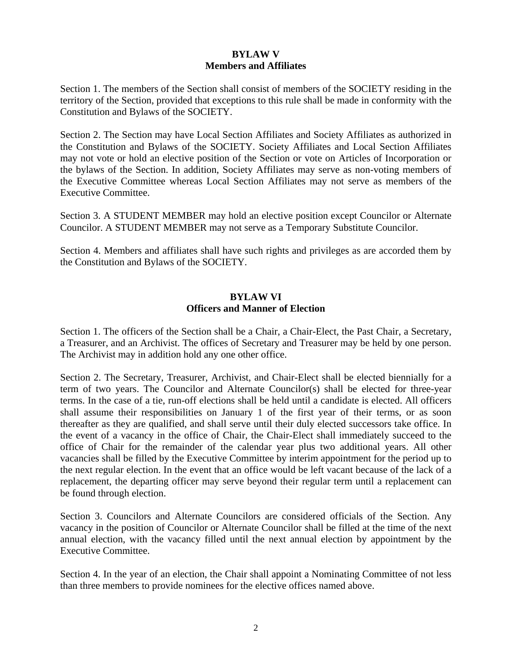# **BYLAW V Members and Affiliates**

Section 1. The members of the Section shall consist of members of the SOCIETY residing in the territory of the Section, provided that exceptions to this rule shall be made in conformity with the Constitution and Bylaws of the SOCIETY.

Section 2. The Section may have Local Section Affiliates and Society Affiliates as authorized in the Constitution and Bylaws of the SOCIETY. Society Affiliates and Local Section Affiliates may not vote or hold an elective position of the Section or vote on Articles of Incorporation or the bylaws of the Section. In addition, Society Affiliates may serve as non-voting members of the Executive Committee whereas Local Section Affiliates may not serve as members of the Executive Committee.

Section 3. A STUDENT MEMBER may hold an elective position except Councilor or Alternate Councilor. A STUDENT MEMBER may not serve as a Temporary Substitute Councilor.

Section 4. Members and affiliates shall have such rights and privileges as are accorded them by the Constitution and Bylaws of the SOCIETY.

### **BYLAW VI Officers and Manner of Election**

Section 1. The officers of the Section shall be a Chair, a Chair-Elect, the Past Chair, a Secretary, a Treasurer, and an Archivist. The offices of Secretary and Treasurer may be held by one person. The Archivist may in addition hold any one other office.

Section 2. The Secretary, Treasurer, Archivist, and Chair-Elect shall be elected biennially for a term of two years. The Councilor and Alternate Councilor(s) shall be elected for three-year terms. In the case of a tie, run-off elections shall be held until a candidate is elected. All officers shall assume their responsibilities on January 1 of the first year of their terms, or as soon thereafter as they are qualified, and shall serve until their duly elected successors take office. In the event of a vacancy in the office of Chair, the Chair-Elect shall immediately succeed to the office of Chair for the remainder of the calendar year plus two additional years. All other vacancies shall be filled by the Executive Committee by interim appointment for the period up to the next regular election. In the event that an office would be left vacant because of the lack of a replacement, the departing officer may serve beyond their regular term until a replacement can be found through election.

Section 3. Councilors and Alternate Councilors are considered officials of the Section. Any vacancy in the position of Councilor or Alternate Councilor shall be filled at the time of the next annual election, with the vacancy filled until the next annual election by appointment by the Executive Committee.

Section 4. In the year of an election, the Chair shall appoint a Nominating Committee of not less than three members to provide nominees for the elective offices named above.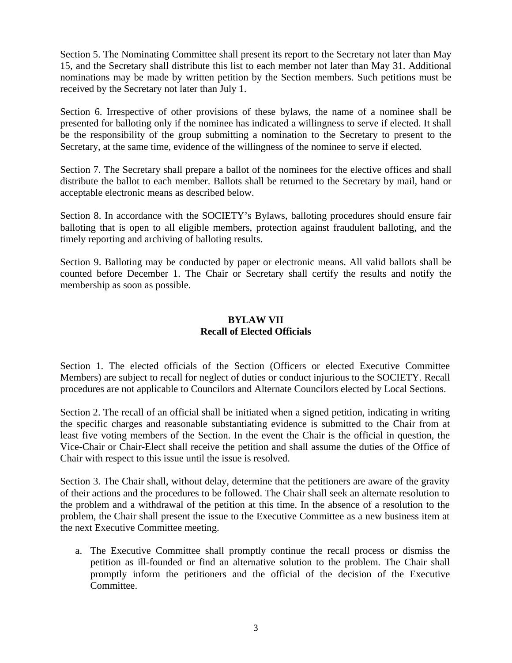Section 5. The Nominating Committee shall present its report to the Secretary not later than May 15, and the Secretary shall distribute this list to each member not later than May 31. Additional nominations may be made by written petition by the Section members. Such petitions must be received by the Secretary not later than July 1.

Section 6. Irrespective of other provisions of these bylaws, the name of a nominee shall be presented for balloting only if the nominee has indicated a willingness to serve if elected. It shall be the responsibility of the group submitting a nomination to the Secretary to present to the Secretary, at the same time, evidence of the willingness of the nominee to serve if elected.

Section 7. The Secretary shall prepare a ballot of the nominees for the elective offices and shall distribute the ballot to each member. Ballots shall be returned to the Secretary by mail, hand or acceptable electronic means as described below.

Section 8. In accordance with the SOCIETY's Bylaws, balloting procedures should ensure fair balloting that is open to all eligible members, protection against fraudulent balloting, and the timely reporting and archiving of balloting results.

Section 9. Balloting may be conducted by paper or electronic means. All valid ballots shall be counted before December 1. The Chair or Secretary shall certify the results and notify the membership as soon as possible.

# **BYLAW VII Recall of Elected Officials**

Section 1. The elected officials of the Section (Officers or elected Executive Committee Members) are subject to recall for neglect of duties or conduct injurious to the SOCIETY. Recall procedures are not applicable to Councilors and Alternate Councilors elected by Local Sections.

Section 2. The recall of an official shall be initiated when a signed petition, indicating in writing the specific charges and reasonable substantiating evidence is submitted to the Chair from at least five voting members of the Section. In the event the Chair is the official in question, the Vice-Chair or Chair-Elect shall receive the petition and shall assume the duties of the Office of Chair with respect to this issue until the issue is resolved.

Section 3. The Chair shall, without delay, determine that the petitioners are aware of the gravity of their actions and the procedures to be followed. The Chair shall seek an alternate resolution to the problem and a withdrawal of the petition at this time. In the absence of a resolution to the problem, the Chair shall present the issue to the Executive Committee as a new business item at the next Executive Committee meeting.

a. The Executive Committee shall promptly continue the recall process or dismiss the petition as ill-founded or find an alternative solution to the problem. The Chair shall promptly inform the petitioners and the official of the decision of the Executive Committee.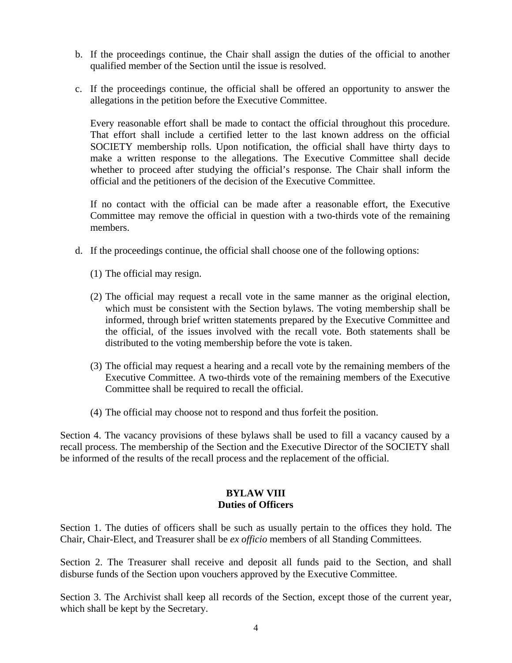- b. If the proceedings continue, the Chair shall assign the duties of the official to another qualified member of the Section until the issue is resolved.
- c. If the proceedings continue, the official shall be offered an opportunity to answer the allegations in the petition before the Executive Committee.

Every reasonable effort shall be made to contact the official throughout this procedure. That effort shall include a certified letter to the last known address on the official SOCIETY membership rolls. Upon notification, the official shall have thirty days to make a written response to the allegations. The Executive Committee shall decide whether to proceed after studying the official's response. The Chair shall inform the official and the petitioners of the decision of the Executive Committee.

If no contact with the official can be made after a reasonable effort, the Executive Committee may remove the official in question with a two-thirds vote of the remaining members.

- d. If the proceedings continue, the official shall choose one of the following options:
	- (1) The official may resign.
	- (2) The official may request a recall vote in the same manner as the original election, which must be consistent with the Section bylaws. The voting membership shall be informed, through brief written statements prepared by the Executive Committee and the official, of the issues involved with the recall vote. Both statements shall be distributed to the voting membership before the vote is taken.
	- (3) The official may request a hearing and a recall vote by the remaining members of the Executive Committee. A two-thirds vote of the remaining members of the Executive Committee shall be required to recall the official.
	- (4) The official may choose not to respond and thus forfeit the position.

Section 4. The vacancy provisions of these bylaws shall be used to fill a vacancy caused by a recall process. The membership of the Section and the Executive Director of the SOCIETY shall be informed of the results of the recall process and the replacement of the official.

### **BYLAW VIII Duties of Officers**

Section 1. The duties of officers shall be such as usually pertain to the offices they hold. The Chair, Chair-Elect, and Treasurer shall be *ex officio* members of all Standing Committees.

Section 2. The Treasurer shall receive and deposit all funds paid to the Section, and shall disburse funds of the Section upon vouchers approved by the Executive Committee.

Section 3. The Archivist shall keep all records of the Section, except those of the current year, which shall be kept by the Secretary.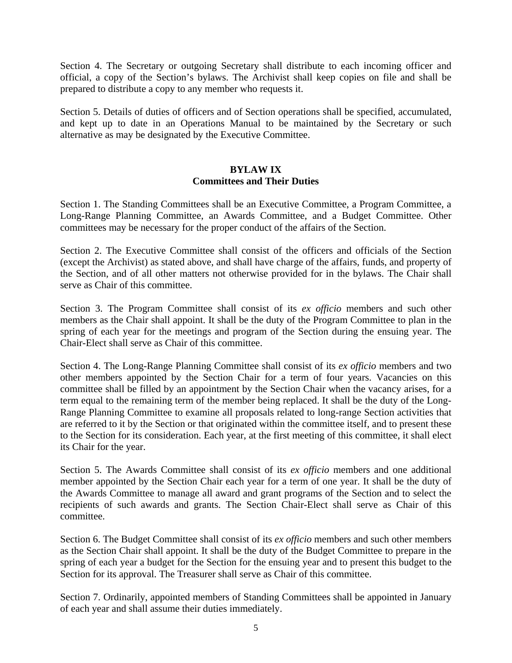Section 4. The Secretary or outgoing Secretary shall distribute to each incoming officer and official, a copy of the Section's bylaws. The Archivist shall keep copies on file and shall be prepared to distribute a copy to any member who requests it.

Section 5. Details of duties of officers and of Section operations shall be specified, accumulated, and kept up to date in an Operations Manual to be maintained by the Secretary or such alternative as may be designated by the Executive Committee.

### **BYLAW IX Committees and Their Duties**

Section 1. The Standing Committees shall be an Executive Committee, a Program Committee, a Long-Range Planning Committee, an Awards Committee, and a Budget Committee. Other committees may be necessary for the proper conduct of the affairs of the Section.

Section 2. The Executive Committee shall consist of the officers and officials of the Section (except the Archivist) as stated above, and shall have charge of the affairs, funds, and property of the Section, and of all other matters not otherwise provided for in the bylaws. The Chair shall serve as Chair of this committee.

Section 3. The Program Committee shall consist of its *ex officio* members and such other members as the Chair shall appoint. It shall be the duty of the Program Committee to plan in the spring of each year for the meetings and program of the Section during the ensuing year. The Chair-Elect shall serve as Chair of this committee.

Section 4. The Long-Range Planning Committee shall consist of its *ex officio* members and two other members appointed by the Section Chair for a term of four years. Vacancies on this committee shall be filled by an appointment by the Section Chair when the vacancy arises, for a term equal to the remaining term of the member being replaced. It shall be the duty of the Long-Range Planning Committee to examine all proposals related to long-range Section activities that are referred to it by the Section or that originated within the committee itself, and to present these to the Section for its consideration. Each year, at the first meeting of this committee, it shall elect its Chair for the year.

Section 5. The Awards Committee shall consist of its *ex officio* members and one additional member appointed by the Section Chair each year for a term of one year. It shall be the duty of the Awards Committee to manage all award and grant programs of the Section and to select the recipients of such awards and grants. The Section Chair-Elect shall serve as Chair of this committee.

Section 6. The Budget Committee shall consist of its *ex officio* members and such other members as the Section Chair shall appoint. It shall be the duty of the Budget Committee to prepare in the spring of each year a budget for the Section for the ensuing year and to present this budget to the Section for its approval. The Treasurer shall serve as Chair of this committee.

Section 7. Ordinarily, appointed members of Standing Committees shall be appointed in January of each year and shall assume their duties immediately.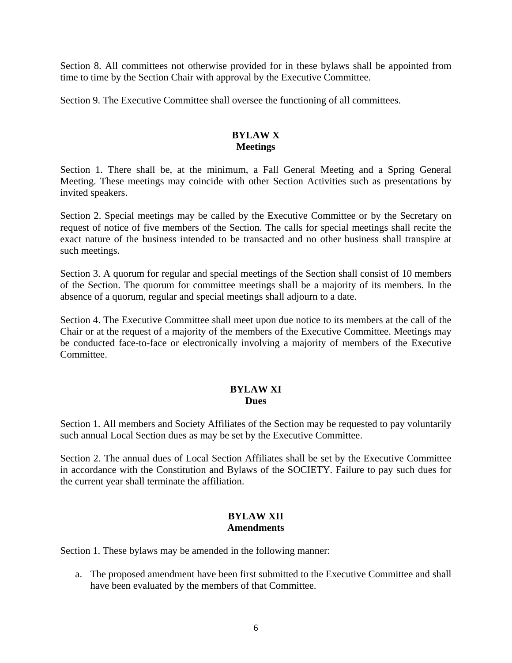Section 8. All committees not otherwise provided for in these bylaws shall be appointed from time to time by the Section Chair with approval by the Executive Committee.

Section 9. The Executive Committee shall oversee the functioning of all committees.

## **BYLAW X Meetings**

Section 1. There shall be, at the minimum, a Fall General Meeting and a Spring General Meeting. These meetings may coincide with other Section Activities such as presentations by invited speakers.

Section 2. Special meetings may be called by the Executive Committee or by the Secretary on request of notice of five members of the Section. The calls for special meetings shall recite the exact nature of the business intended to be transacted and no other business shall transpire at such meetings.

Section 3. A quorum for regular and special meetings of the Section shall consist of 10 members of the Section. The quorum for committee meetings shall be a majority of its members. In the absence of a quorum, regular and special meetings shall adjourn to a date.

Section 4. The Executive Committee shall meet upon due notice to its members at the call of the Chair or at the request of a majority of the members of the Executive Committee. Meetings may be conducted face-to-face or electronically involving a majority of members of the Executive Committee.

# **BYLAW XI Dues**

Section 1. All members and Society Affiliates of the Section may be requested to pay voluntarily such annual Local Section dues as may be set by the Executive Committee.

Section 2. The annual dues of Local Section Affiliates shall be set by the Executive Committee in accordance with the Constitution and Bylaws of the SOCIETY. Failure to pay such dues for the current year shall terminate the affiliation.

# **BYLAW XII Amendments**

Section 1. These bylaws may be amended in the following manner:

a. The proposed amendment have been first submitted to the Executive Committee and shall have been evaluated by the members of that Committee.